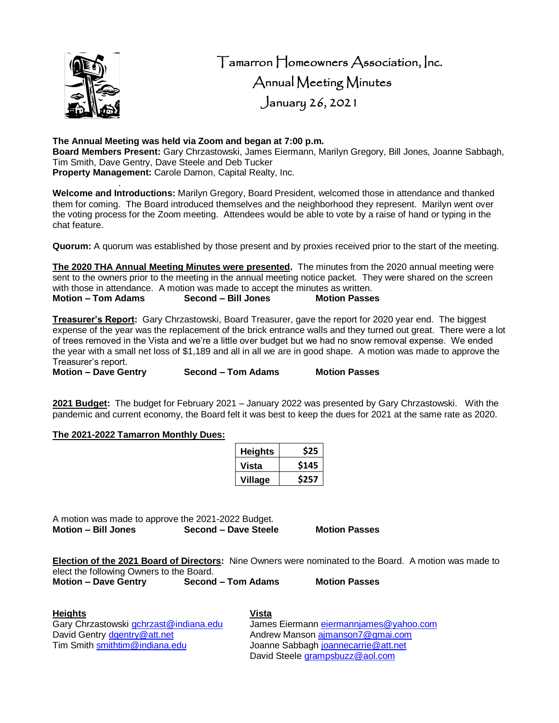

 Tamarron Homeowners Association, Inc. Annual Meeting Minutes January 26, 2021

## **The Annual Meeting was held via Zoom and began at 7:00 p.m.**

**Board Members Present:** Gary Chrzastowski, James Eiermann, Marilyn Gregory, Bill Jones, Joanne Sabbagh, Tim Smith, Dave Gentry, Dave Steele and Deb Tucker **Property Management:** Carole Damon, Capital Realty, Inc.

. **Welcome and Introductions:** Marilyn Gregory, Board President, welcomed those in attendance and thanked them for coming. The Board introduced themselves and the neighborhood they represent. Marilyn went over the voting process for the Zoom meeting. Attendees would be able to vote by a raise of hand or typing in the chat feature.

**Quorum:** A quorum was established by those present and by proxies received prior to the start of the meeting.

**The 2020 THA Annual Meeting Minutes were presented.** The minutes from the 2020 annual meeting were sent to the owners prior to the meeting in the annual meeting notice packet. They were shared on the screen with those in attendance. A motion was made to accept the minutes as written.<br> **Motion – Tom Adams Second – Bill Jones Motion Passes Motion – Tom Adams** 

**Treasurer's Report:** Gary Chrzastowski, Board Treasurer, gave the report for 2020 year end. The biggest expense of the year was the replacement of the brick entrance walls and they turned out great. There were a lot of trees removed in the Vista and we're a little over budget but we had no snow removal expense. We ended the year with a small net loss of \$1,189 and all in all we are in good shape. A motion was made to approve the Treasurer's report.

**Motion – Dave Gentry Second – Tom Adams Motion Passes**

**2021 Budget:** The budget for February 2021 – January 2022 was presented by Gary Chrzastowski. With the pandemic and current economy, the Board felt it was best to keep the dues for 2021 at the same rate as 2020.

### **The 2021-2022 Tamarron Monthly Dues:**

| <b>Heights</b> | \$25  |
|----------------|-------|
| Vista          | \$145 |
| <b>Village</b> | \$257 |

A motion was made to approve the 2021-2022 Budget. **Motion – Bill Jones Second – Dave Steele Motion Passes**

**Election of the 2021 Board of Directors:** Nine Owners were nominated to the Board. A motion was made to elect the following Owners to the Board.<br> **Motion - Dave Gentry Second Motion – Dave Gentry Second – Tom Adams Motion Passes**

# **Heights Vista**

David Gentry *dgentry* @ att.net <br>
Tim Smith smithtim @ indiana.edu **Andrew Manson a** Joanne Sabbagh joannecarrie @ att.net

Gary Chrzastowski [gchrzast@indiana.edu](mailto:gchrzast@indiana.edu) James Eiermann [eiermannjames@yahoo.com](mailto:eiermannjames@yahoo.com) Joanne Sabbagh [joannecarrie@att.net](mailto:joannecarrie@att.net) David Steele [grampsbuzz@aol.com](mailto:grampsbuzz@aol.com)